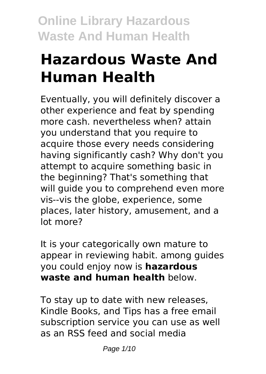# **Hazardous Waste And Human Health**

Eventually, you will definitely discover a other experience and feat by spending more cash. nevertheless when? attain you understand that you require to acquire those every needs considering having significantly cash? Why don't you attempt to acquire something basic in the beginning? That's something that will quide you to comprehend even more vis--vis the globe, experience, some places, later history, amusement, and a lot more?

It is your categorically own mature to appear in reviewing habit. among guides you could enjoy now is **hazardous waste and human health** below.

To stay up to date with new releases, Kindle Books, and Tips has a free email subscription service you can use as well as an RSS feed and social media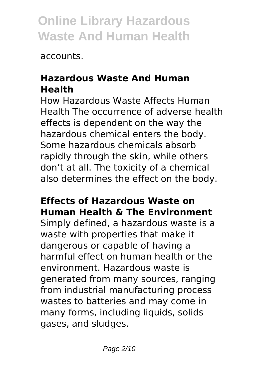accounts.

## **Hazardous Waste And Human Health**

How Hazardous Waste Affects Human Health The occurrence of adverse health effects is dependent on the way the hazardous chemical enters the body. Some hazardous chemicals absorb rapidly through the skin, while others don't at all. The toxicity of a chemical also determines the effect on the body.

## **Effects of Hazardous Waste on Human Health & The Environment**

Simply defined, a hazardous waste is a waste with properties that make it dangerous or capable of having a harmful effect on human health or the environment. Hazardous waste is generated from many sources, ranging from industrial manufacturing process wastes to batteries and may come in many forms, including liquids, solids gases, and sludges.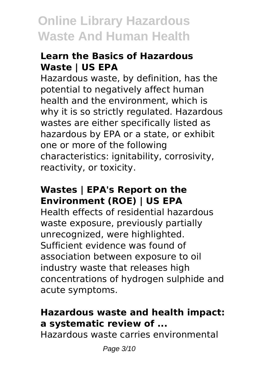### **Learn the Basics of Hazardous Waste | US EPA**

Hazardous waste, by definition, has the potential to negatively affect human health and the environment, which is why it is so strictly regulated. Hazardous wastes are either specifically listed as hazardous by EPA or a state, or exhibit one or more of the following characteristics: ignitability, corrosivity, reactivity, or toxicity.

### **Wastes | EPA's Report on the Environment (ROE) | US EPA**

Health effects of residential hazardous waste exposure, previously partially unrecognized, were highlighted. Sufficient evidence was found of association between exposure to oil industry waste that releases high concentrations of hydrogen sulphide and acute symptoms.

## **Hazardous waste and health impact: a systematic review of ...**

Hazardous waste carries environmental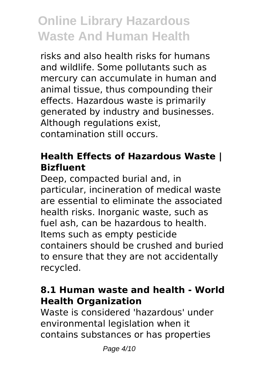risks and also health risks for humans and wildlife. Some pollutants such as mercury can accumulate in human and animal tissue, thus compounding their effects. Hazardous waste is primarily generated by industry and businesses. Although regulations exist, contamination still occurs.

### **Health Effects of Hazardous Waste | Bizfluent**

Deep, compacted burial and, in particular, incineration of medical waste are essential to eliminate the associated health risks. Inorganic waste, such as fuel ash, can be hazardous to health. Items such as empty pesticide containers should be crushed and buried to ensure that they are not accidentally recycled.

### **8.1 Human waste and health - World Health Organization**

Waste is considered 'hazardous' under environmental legislation when it contains substances or has properties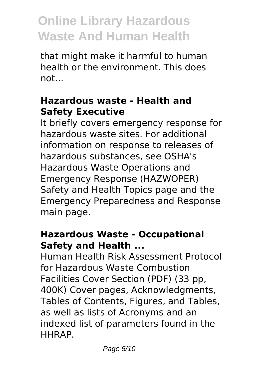that might make it harmful to human health or the environment. This does not.

### **Hazardous waste - Health and Safety Executive**

It briefly covers emergency response for hazardous waste sites. For additional information on response to releases of hazardous substances, see OSHA's Hazardous Waste Operations and Emergency Response (HAZWOPER) Safety and Health Topics page and the Emergency Preparedness and Response main page.

#### **Hazardous Waste - Occupational Safety and Health ...**

Human Health Risk Assessment Protocol for Hazardous Waste Combustion Facilities Cover Section (PDF) (33 pp, 400K) Cover pages, Acknowledgments, Tables of Contents, Figures, and Tables, as well as lists of Acronyms and an indexed list of parameters found in the HHRAP.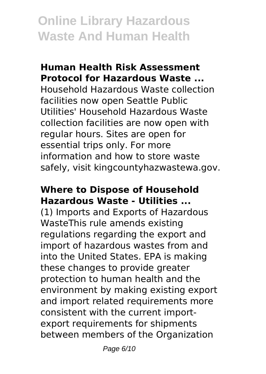#### **Human Health Risk Assessment Protocol for Hazardous Waste ...**

Household Hazardous Waste collection facilities now open Seattle Public Utilities' Household Hazardous Waste collection facilities are now open with regular hours. Sites are open for essential trips only. For more information and how to store waste safely, visit kingcountyhazwastewa.gov.

#### **Where to Dispose of Household Hazardous Waste - Utilities ...**

(1) Imports and Exports of Hazardous WasteThis rule amends existing regulations regarding the export and import of hazardous wastes from and into the United States. EPA is making these changes to provide greater protection to human health and the environment by making existing export and import related requirements more consistent with the current importexport requirements for shipments between members of the Organization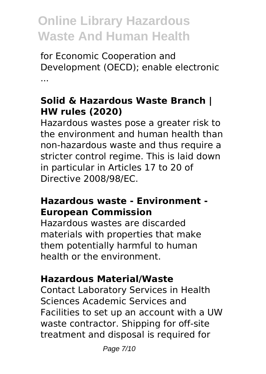for Economic Cooperation and Development (OECD); enable electronic ...

## **Solid & Hazardous Waste Branch | HW rules (2020)**

Hazardous wastes pose a greater risk to the environment and human health than non-hazardous waste and thus require a stricter control regime. This is laid down in particular in Articles 17 to 20 of Directive 2008/98/EC.

#### **Hazardous waste - Environment - European Commission**

Hazardous wastes are discarded materials with properties that make them potentially harmful to human health or the environment.

## **Hazardous Material/Waste**

Contact Laboratory Services in Health Sciences Academic Services and Facilities to set up an account with a UW waste contractor. Shipping for off-site treatment and disposal is required for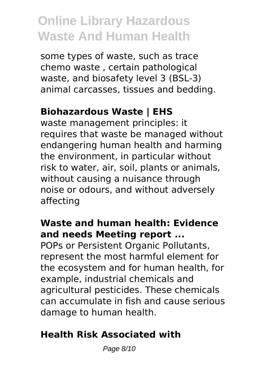some types of waste, such as trace chemo waste , certain pathological waste, and biosafety level 3 (BSL-3) animal carcasses, tissues and bedding.

## **Biohazardous Waste | EHS**

waste management principles: it requires that waste be managed without endangering human health and harming the environment, in particular without risk to water, air, soil, plants or animals, without causing a nuisance through noise or odours, and without adversely affecting

#### **Waste and human health: Evidence and needs Meeting report ...**

POPs or Persistent Organic Pollutants, represent the most harmful element for the ecosystem and for human health, for example, industrial chemicals and agricultural pesticides. These chemicals can accumulate in fish and cause serious damage to human health.

## **Health Risk Associated with**

Page 8/10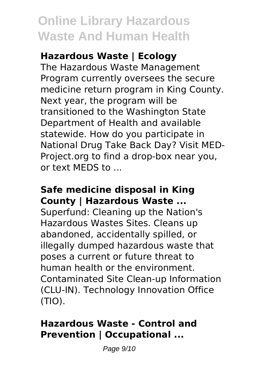## **Hazardous Waste | Ecology**

The Hazardous Waste Management Program currently oversees the secure medicine return program in King County. Next year, the program will be transitioned to the Washington State Department of Health and available statewide. How do you participate in National Drug Take Back Day? Visit MED-Project.org to find a drop-box near you, or text MEDS to ...

#### **Safe medicine disposal in King County | Hazardous Waste ...**

Superfund: Cleaning up the Nation's Hazardous Wastes Sites. Cleans up abandoned, accidentally spilled, or illegally dumped hazardous waste that poses a current or future threat to human health or the environment. Contaminated Site Clean-up Information (CLU-IN). Technology Innovation Office (TIO).

### **Hazardous Waste - Control and Prevention | Occupational ...**

Page 9/10